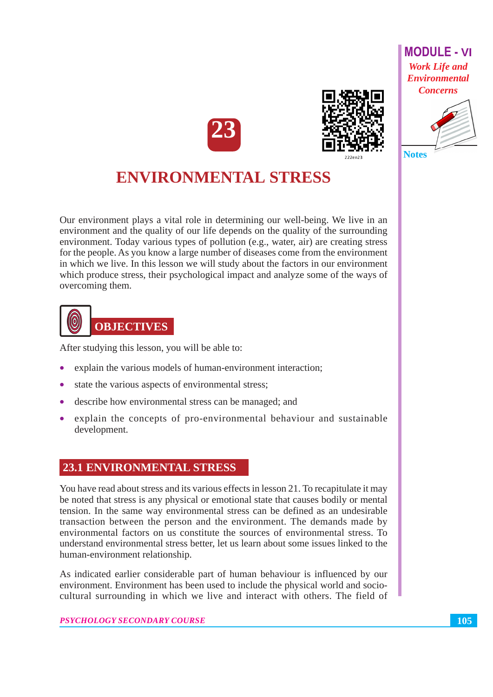







Our environment plays a vital role in determining our well-being. We live in an environment and the quality of our life depends on the quality of the surrounding environment. Today various types of pollution (e.g., water, air) are creating stress for the people. As you know a large number of diseases come from the environment in which we live. In this lesson we will study about the factors in our environment which produce stress, their psychological impact and analyze some of the ways of overcoming them.



After studying this lesson, you will be able to:

- explain the various models of human-environment interaction;
- state the various aspects of environmental stress;
- describe how environmental stress can be managed; and
- explain the concepts of pro-environmental behaviour and sustainable development.

### **23.1 ENVIRONMENTAL STRESS**

You have read about stress and its various effects in lesson 21. To recapitulate it may be noted that stress is any physical or emotional state that causes bodily or mental tension. In the same way environmental stress can be defined as an undesirable transaction between the person and the environment. The demands made by environmental factors on us constitute the sources of environmental stress. To understand environmental stress better, let us learn about some issues linked to the human-environment relationship.

As indicated earlier considerable part of human behaviour is influenced by our environment. Environment has been used to include the physical world and sociocultural surrounding in which we live and interact with others. The field of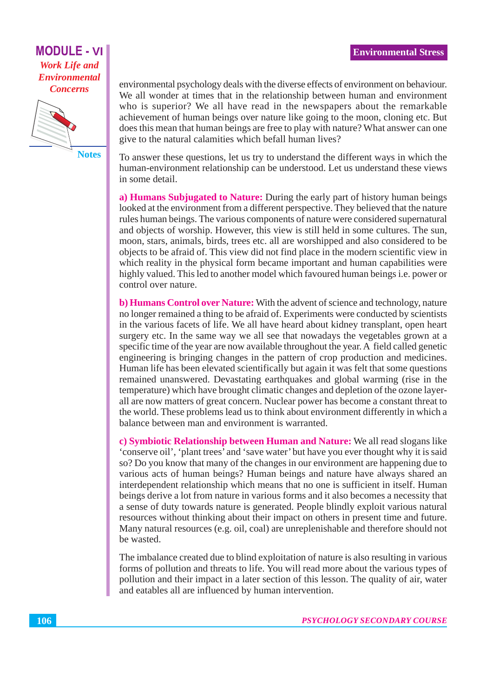

**Notes** 

environmental psychology deals with the diverse effects of environment on behaviour. We all wonder at times that in the relationship between human and environment who is superior? We all have read in the newspapers about the remarkable achievement of human beings over nature like going to the moon, cloning etc. But does this mean that human beings are free to play with nature? What answer can one give to the natural calamities which befall human lives?

To answer these questions, let us try to understand the different ways in which the human-environment relationship can be understood. Let us understand these views in some detail.

a) Humans Subjugated to Nature: During the early part of history human beings looked at the environment from a different perspective. They believed that the nature rules human beings. The various components of nature were considered supernatural and objects of worship. However, this view is still held in some cultures. The sun, moon, stars, animals, birds, trees etc. all are worshipped and also considered to be objects to be afraid of. This view did not find place in the modern scientific view in which reality in the physical form became important and human capabilities were highly valued. This led to another model which favoured human beings *i.e.* power or control over nature.

b) Humans Control over Nature: With the advent of science and technology, nature no longer remained a thing to be afraid of. Experiments were conducted by scientists in the various facets of life. We all have heard about kidney transplant, open heart surgery etc. In the same way we all see that nowadays the vegetables grown at a specific time of the year are now available throughout the year. A field called genetic engineering is bringing changes in the pattern of crop production and medicines. Human life has been elevated scientifically but again it was felt that some questions remained unanswered. Devastating earthquakes and global warming (rise in the temperature) which have brought climatic changes and depletion of the ozone layerall are now matters of great concern. Nuclear power has become a constant threat to the world. These problems lead us to think about environment differently in which a balance between man and environment is warranted.

c) Symbiotic Relationship between Human and Nature: We all read slogans like 'conserve oil', 'plant trees' and 'save water' but have you ever thought why it is said so? Do you know that many of the changes in our environment are happening due to various acts of human beings? Human beings and nature have always shared an interdependent relationship which means that no one is sufficient in itself. Human beings derive a lot from nature in various forms and it also becomes a necessity that a sense of duty towards nature is generated. People blindly exploit various natural resources without thinking about their impact on others in present time and future. Many natural resources (e.g. oil, coal) are unreplenishable and therefore should not be wasted.

The imbalance created due to blind exploitation of nature is also resulting in various forms of pollution and threats to life. You will read more about the various types of pollution and their impact in a later section of this lesson. The quality of air, water and eatables all are influenced by human intervention.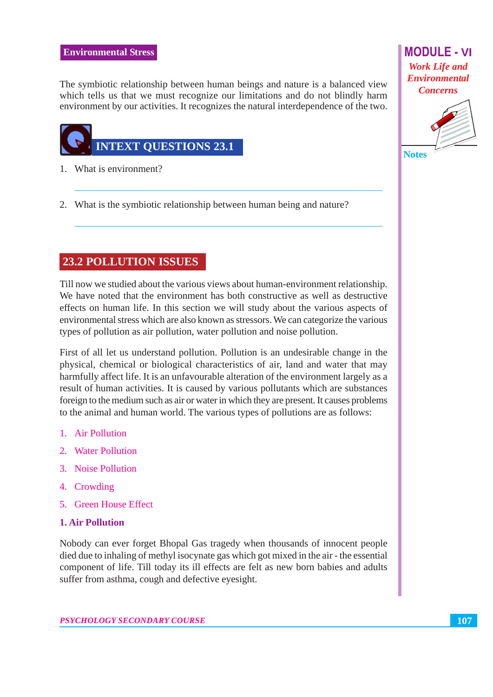The symbiotic relationship between human beings and nature is a balanced view which tells us that we must recognize our limitations and do not blindly harm environment by our activities. It recognizes the natural interdependence of the two.



- 1. What is environment?
- 2. What is the symbiotic relationship between human being and nature?

# **23.2 POLLUTION ISSUES**

Till now we studied about the various views about human-environment relationship. We have noted that the environment has both constructive as well as destructive effects on human life. In this section we will study about the various aspects of environmental stress which are also known as stressors. We can categorize the various types of pollution as air pollution, water pollution and noise pollution.

First of all let us understand pollution. Pollution is an undesirable change in the physical, chemical or biological characteristics of air, land and water that may harmfully affect life. It is an unfavourable alteration of the environment largely as a result of human activities. It is caused by various pollutants which are substances foreign to the medium such as air or water in which they are present. It causes problems to the animal and human world. The various types of pollutions are as follows:

- 1. Air Pollution
- 2. Water Pollution
- 3. Noise Pollution
- 4. Crowding
- 5 Green House Effect

### **1. Air Pollution**

Nobody can ever forget Bhopal Gas tragedy when thousands of innocent people died due to inhaling of methyl isocynate gas which got mixed in the air - the essential component of life. Till today its ill effects are felt as new born babies and adults suffer from asthma, cough and defective eyesight.

**MODULE - VI Work Life and Environmental Concerns** 

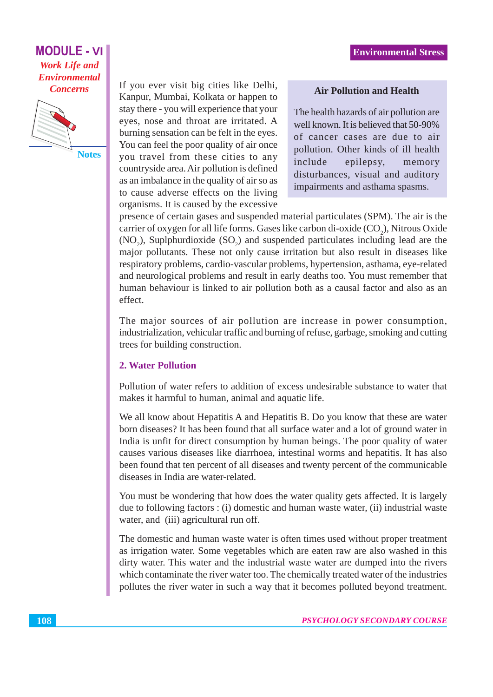

**Notes** 

If you ever visit big cities like Delhi, Kanpur, Mumbai, Kolkata or happen to stay there - you will experience that your eyes, nose and throat are irritated. A burning sensation can be felt in the eyes. You can feel the poor quality of air once you travel from these cities to any countryside area. Air pollution is defined as an imbalance in the quality of air so as to cause adverse effects on the living organisms. It is caused by the excessive

#### **Air Pollution and Health**

The health hazards of air pollution are well known. It is believed that 50-90% of cancer cases are due to air pollution. Other kinds of ill health include epilepsy, memory disturbances, visual and auditory impairments and asthama spasms.

presence of certain gases and suspended material particulates (SPM). The air is the carrier of oxygen for all life forms. Gases like carbon di-oxide (CO<sub>2</sub>), Nitrous Oxide (NO<sub>2</sub>), Suplphurdioxide (SO<sub>2</sub>) and suspended particulates including lead are the major pollutants. These not only cause irritation but also result in diseases like respiratory problems, cardio-vascular problems, hypertension, asthama, eye-related and neurological problems and result in early deaths too. You must remember that human behaviour is linked to air pollution both as a causal factor and also as an effect.

The major sources of air pollution are increase in power consumption, industrialization, vehicular traffic and burning of refuse, garbage, smoking and cutting trees for building construction.

#### **2. Water Pollution**

Pollution of water refers to addition of excess undesirable substance to water that makes it harmful to human, animal and aquatic life.

We all know about Hepatitis A and Hepatitis B. Do you know that these are water born diseases? It has been found that all surface water and a lot of ground water in India is unfit for direct consumption by human beings. The poor quality of water causes various diseases like diarrhoea, intestinal worms and hepatitis. It has also been found that ten percent of all diseases and twenty percent of the communicable diseases in India are water-related.

You must be wondering that how does the water quality gets affected. It is largely due to following factors : (i) domestic and human waste water, (ii) industrial waste water, and (iii) agricultural run off.

The domestic and human waste water is often times used without proper treatment as irrigation water. Some vegetables which are eaten raw are also washed in this dirty water. This water and the industrial waste water are dumped into the rivers which contaminate the river water too. The chemically treated water of the industries pollutes the river water in such a way that it becomes polluted beyond treatment.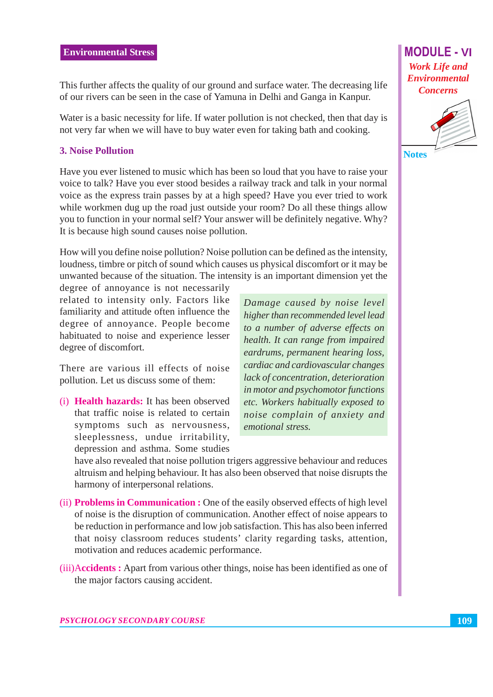This further affects the quality of our ground and surface water. The decreasing life of our rivers can be seen in the case of Yamuna in Delhi and Ganga in Kanpur.

Water is a basic necessity for life. If water pollution is not checked, then that day is not very far when we will have to buy water even for taking bath and cooking.

# **3. Noise Pollution**

Have you ever listened to music which has been so loud that you have to raise your voice to talk? Have you ever stood besides a railway track and talk in your normal voice as the express train passes by at a high speed? Have you ever tried to work while workmen dug up the road just outside your room? Do all these things allow you to function in your normal self? Your answer will be definitely negative. Why? It is because high sound causes noise pollution.

How will you define noise pollution? Noise pollution can be defined as the intensity, loudness, timbre or pitch of sound which causes us physical discomfort or it may be unwanted because of the situation. The intensity is an important dimension yet the

degree of annoyance is not necessarily related to intensity only. Factors like familiarity and attitude often influence the degree of annoyance. People become habituated to noise and experience lesser degree of discomfort.

There are various ill effects of noise pollution. Let us discuss some of them:

(i) **Health hazards:** It has been observed that traffic noise is related to certain symptoms such as nervousness, sleeplessness, undue irritability, depression and asthma. Some studies

Damage caused by noise level higher than recommended level lead to a number of adverse effects on health. It can range from impaired eardrums, permanent hearing loss, cardiac and cardiovascular changes lack of concentration, deterioration in motor and psychomotor functions etc. Workers habitually exposed to noise complain of anxiety and emotional stress.

have also revealed that noise pollution trigers aggressive behaviour and reduces altruism and helping behaviour. It has also been observed that noise disrupts the harmony of interpersonal relations.

- (ii) **Problems in Communication :** One of the easily observed effects of high level of noise is the disruption of communication. Another effect of noise appears to be reduction in performance and low job satisfaction. This has also been inferred that noisy classroom reduces students' clarity regarding tasks, attention, motivation and reduces academic performance.
- (iii) Accidents: Apart from various other things, noise has been identified as one of the major factors causing accident.

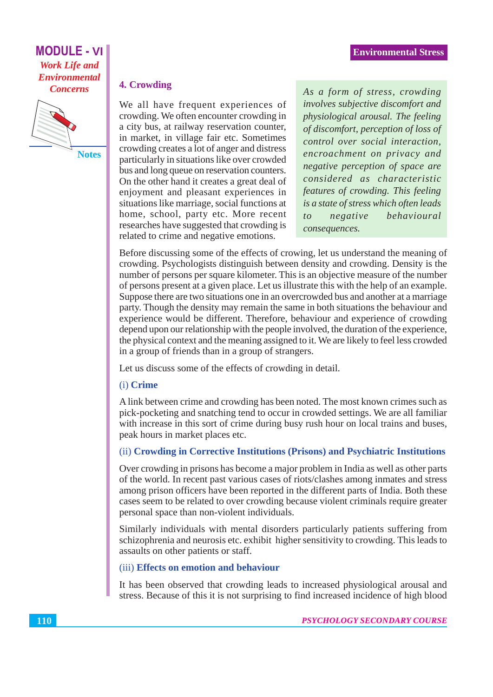

**Notes** 

#### 4. Crowding

We all have frequent experiences of crowding. We often encounter crowding in a city bus, at railway reservation counter, in market, in village fair etc. Sometimes crowding creates a lot of anger and distress particularly in situations like over crowded bus and long queue on reservation counters. On the other hand it creates a great deal of enjoyment and pleasant experiences in situations like marriage, social functions at home, school, party etc. More recent researches have suggested that crowding is related to crime and negative emotions.

As a form of stress, crowding involves subjective discomfort and physiological arousal. The feeling of discomfort, perception of loss of control over social interaction, encroachment on privacy and negative perception of space are considered as characteristic features of crowding. This feeling is a state of stress which often leads behavioural negative  $to$ consequences.

Before discussing some of the effects of crowing, let us understand the meaning of crowding. Psychologists distinguish between density and crowding. Density is the number of persons per square kilometer. This is an objective measure of the number of persons present at a given place. Let us illustrate this with the help of an example. Suppose there are two situations one in an overcrowded bus and another at a marriage party. Though the density may remain the same in both situations the behaviour and experience would be different. Therefore, behaviour and experience of crowding depend upon our relationship with the people involved, the duration of the experience, the physical context and the meaning assigned to it. We are likely to feel less crowded in a group of friends than in a group of strangers.

Let us discuss some of the effects of crowding in detail.

#### (i) Crime

A link between crime and crowding has been noted. The most known crimes such as pick-pocketing and snatching tend to occur in crowded settings. We are all familiar with increase in this sort of crime during busy rush hour on local trains and buses, peak hours in market places etc.

#### (ii) Crowding in Corrective Institutions (Prisons) and Psychiatric Institutions

Over crowding in prisons has become a major problem in India as well as other parts of the world. In recent past various cases of riots/clashes among inmates and stress among prison officers have been reported in the different parts of India. Both these cases seem to be related to over crowding because violent criminals require greater personal space than non-violent individuals.

Similarly individuals with mental disorders particularly patients suffering from schizophrenia and neurosis etc. exhibit higher sensitivity to crowding. This leads to assaults on other patients or staff.

#### (iii) Effects on emotion and behaviour

It has been observed that crowding leads to increased physiological arousal and stress. Because of this it is not surprising to find increased incidence of high blood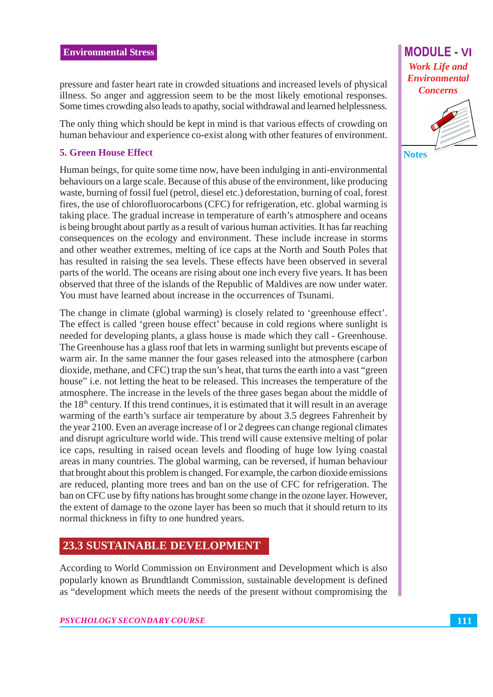pressure and faster heart rate in crowded situations and increased levels of physical illness. So anger and aggression seem to be the most likely emotional responses. Some times crowding also leads to apathy, social withdrawal and learned helplessness.

The only thing which should be kept in mind is that various effects of crowding on human behaviour and experience co-exist along with other features of environment.

# **5. Green House Effect**

Human beings, for quite some time now, have been indulging in anti-environmental behaviours on a large scale. Because of this abuse of the environment, like producing waste, burning of fossil fuel (petrol, diesel etc.) deforestation, burning of coal, forest fires, the use of chlorofluorocarbons (CFC) for refrigeration, etc. global warming is taking place. The gradual increase in temperature of earth's atmosphere and oceans is being brought about partly as a result of various human activities. It has far reaching consequences on the ecology and environment. These include increase in storms and other weather extremes, melting of ice caps at the North and South Poles that has resulted in raising the sea levels. These effects have been observed in several parts of the world. The oceans are rising about one inch every five years. It has been observed that three of the islands of the Republic of Maldives are now under water. You must have learned about increase in the occurrences of Tsunami.

The change in climate (global warming) is closely related to 'greenhouse effect'. The effect is called 'green house effect' because in cold regions where sunlight is needed for developing plants, a glass house is made which they call - Greenhouse. The Greenhouse has a glass roof that lets in warming sunlight but prevents escape of warm air. In the same manner the four gases released into the atmosphere (carbon dioxide, methane, and CFC) trap the sun's heat, that turns the earth into a vast "green house" i.e. not letting the heat to be released. This increases the temperature of the atmosphere. The increase in the levels of the three gases began about the middle of the 18<sup>th</sup> century. If this trend continues, it is estimated that it will result in an average warming of the earth's surface air temperature by about 3.5 degrees Fahrenheit by the year 2100. Even an average increase of l or 2 degrees can change regional climates and disrupt agriculture world wide. This trend will cause extensive melting of polar ice caps, resulting in raised ocean levels and flooding of huge low lying coastal areas in many countries. The global warming, can be reversed, if human behaviour that brought about this problem is changed. For example, the carbon dioxide emissions are reduced, planting more trees and ban on the use of CFC for refrigeration. The ban on CFC use by fifty nations has brought some change in the ozone layer. However, the extent of damage to the ozone layer has been so much that it should return to its normal thickness in fifty to one hundred years.

# **23.3 SUSTAINABLE DEVELOPMENT**

According to World Commission on Environment and Development which is also popularly known as Brundtlandt Commission, sustainable development is defined as "development which meets the needs of the present without compromising the

# **MODULE - VI Work Life and Environmental Concerns**

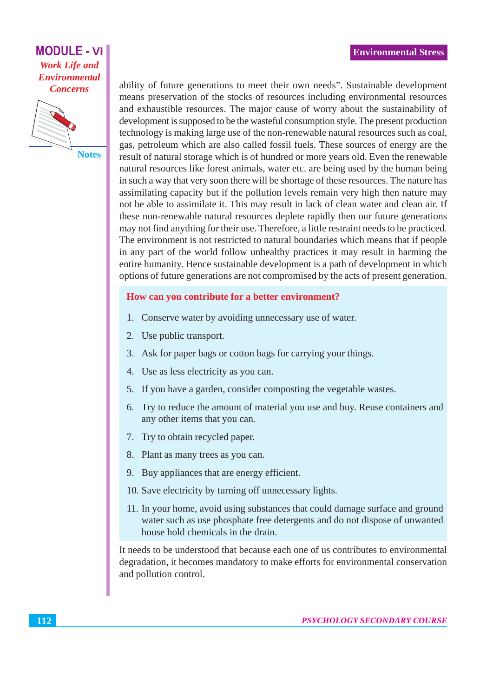

**Notes** 

ability of future generations to meet their own needs". Sustainable development means preservation of the stocks of resources including environmental resources and exhaustible resources. The major cause of worry about the sustainability of development is supposed to be the wasteful consumption style. The present production technology is making large use of the non-renewable natural resources such as coal, gas, petroleum which are also called fossil fuels. These sources of energy are the result of natural storage which is of hundred or more years old. Even the renewable natural resources like forest animals, water etc. are being used by the human being in such a way that very soon there will be shortage of these resources. The nature has assimilating capacity but if the pollution levels remain very high then nature may not be able to assimilate it. This may result in lack of clean water and clean air. If these non-renewable natural resources deplete rapidly then our future generations may not find anything for their use. Therefore, a little restraint needs to be practiced. The environment is not restricted to natural boundaries which means that if people in any part of the world follow unhealthy practices it may result in harming the entire humanity. Hence sustainable development is a path of development in which options of future generations are not compromised by the acts of present generation.

#### How can you contribute for a better environment?

- 1. Conserve water by avoiding unnecessary use of water.
- 2. Use public transport.
- 3. Ask for paper bags or cotton bags for carrying your things.
- 4. Use as less electricity as you can.
- 5. If you have a garden, consider composting the vegetable wastes.
- 6. Try to reduce the amount of material you use and buy. Reuse containers and any other items that you can.
- 7. Try to obtain recycled paper.
- 8. Plant as many trees as you can.
- 9. Buy appliances that are energy efficient.
- 10. Save electricity by turning off unnecessary lights.
- 11. In your home, avoid using substances that could damage surface and ground water such as use phosphate free detergents and do not dispose of unwanted house hold chemicals in the drain.

It needs to be understood that because each one of us contributes to environmental degradation, it becomes mandatory to make efforts for environmental conservation and pollution control.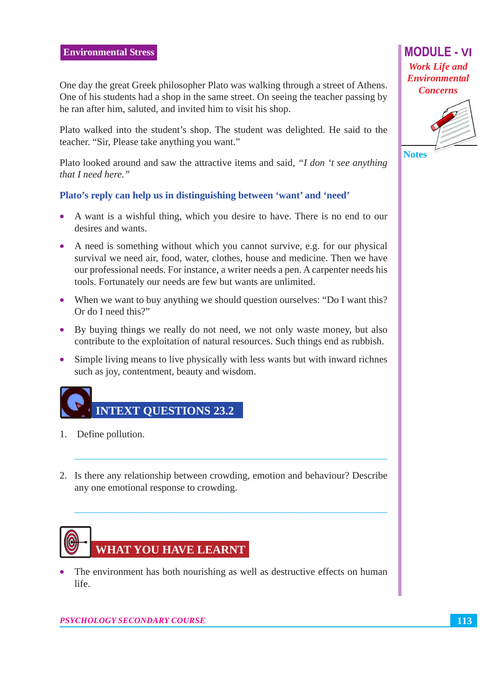One day the great Greek philosopher Plato was walking through a street of Athens. One of his students had a shop in the same street. On seeing the teacher passing by he ran after him, saluted, and invited him to visit his shop.

Plato walked into the student's shop. The student was delighted. He said to the teacher. "Sir, Please take anything you want."

Plato looked around and saw the attractive items and said. "I don 't see anything that I need here."

#### Plato's reply can help us in distinguishing between 'want' and 'need'

- A want is a wishful thing, which you desire to have. There is no end to our desires and wants.
- A need is something without which you cannot survive, e.g. for our physical survival we need air, food, water, clothes, house and medicine. Then we have our professional needs. For instance, a writer needs a pen. A carpenter needs his tools. Fortunately our needs are few but wants are unlimited.
- When we want to buy anything we should question ourselves: "Do I want this? Or do I need this?"
- By buying things we really do not need, we not only waste money, but also contribute to the exploitation of natural resources. Such things end as rubbish.
- Simple living means to live physically with less wants but with inward richnes  $\bullet$ such as joy, contentment, beauty and wisdom.



- 1. Define pollution.
- 2. Is there any relationship between crowding, emotion and behaviour? Describe any one emotional response to crowding.



The environment has both nourishing as well as destructive effects on human  $\bullet$ life.

**MODULE - VI Work Life and Environmental Concerns** 



**Notes**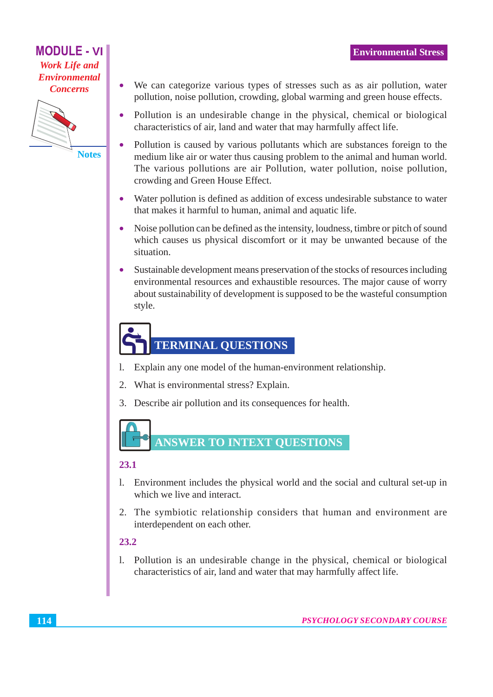

**Notes** 

 $\bullet$ 

- We can categorize various types of stresses such as as air pollution, water pollution, noise pollution, crowding, global warming and green house effects.
- Pollution is an undesirable change in the physical, chemical or biological  $\bullet$ characteristics of air, land and water that may harmfully affect life.
- Pollution is caused by various pollutants which are substances foreign to the  $\bullet$ medium like air or water thus causing problem to the animal and human world. The various pollutions are air Pollution, water pollution, noise pollution, crowding and Green House Effect.
- Water pollution is defined as addition of excess undesirable substance to water that makes it harmful to human, animal and aquatic life.
- Noise pollution can be defined as the intensity, loudness, timbre or pitch of sound  $\bullet$ which causes us physical discomfort or it may be unwanted because of the situation.
- Sustainable development means preservation of the stocks of resources including environmental resources and exhaustible resources. The major cause of worry about sustainability of development is supposed to be the wasteful consumption style.

# **TERMINAL QUESTIONS**

- Explain any one model of the human-environment relationship.  $\mathbf{1}$ .
- What is environmental stress? Explain.  $2.$
- 3. Describe air pollution and its consequences for health.

# **ANSWER TO INTEXT QUESTIONS**

# 23.1

- $1.$ Environment includes the physical world and the social and cultural set-up in which we live and interact.
- 2. The symbiotic relationship considers that human and environment are interdependent on each other.

# $23.2$

1. Pollution is an undesirable change in the physical, chemical or biological characteristics of air, land and water that may harmfully affect life.